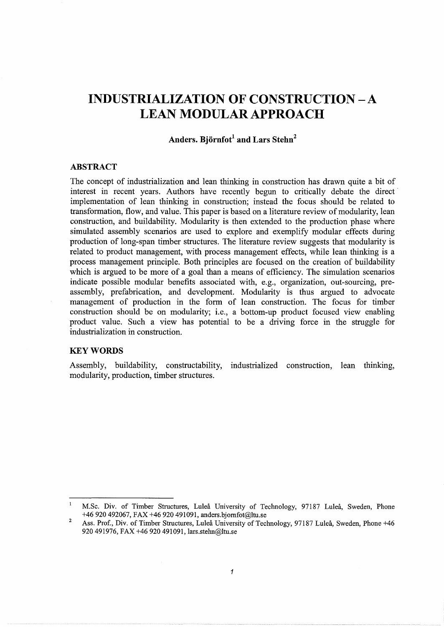# **INDUSTRIALIZATION OF CONSTRUCTION -A LEAN MODULAR APPROACH**

# **Anders. Bjornfot1 and Lars Stehn2**

## **ABSTRACT**

The concept of industrialization and lean thinking in construction has drawn quite a bit of interest in recent years. Authors have recently begun to critically debate the direct implementation of lean thinking in construction; instead the focus should be related to transformation, flow, and value. This paper is based on a literature review of modularity, lean construction, and buildability. Modularity is then extended to the production phase where simulated assembly scenarios are used to explore and exemplify modular effects during production of long-span timber structures. The literature review suggests that modularity is related to product management, with process management effects, while lean thinking is a process management principle. Both principles are focused on the creation of buildability which is argued to be more of a goal than a means of efficiency. The simulation scenarios indicate possible modular benefits associated with, e.g., organization, out-sourcing, preassembly, prefabrication, and development. Modularity is thus argued to advocate management of production in the form of lean construction. The focus for timber construction should be on modularity; i.e., a bottom-up product focused view enabling product value. Such a view has potential to be a driving force in the struggle for industrialization in construction.

## **KEYWORDS**

Assembly, buildability, constructability, industrialized construction, lean thinking, modularity, production, timber structures.

 $\mathbf 1$ M.Sc. Div. of Timber Structures, Lulea University of Teclmology, 97187 Lulea, Sweden, Phone +46 920 492067, FAX +46 920 491091, anders.bjomfot@ltu.se

<sup>2</sup>  Ass. Prof., Div. of Timber Structures, Lulea University of Technology, 97187 Lulea, Sweden, Phone +46 920 491976, FAX +46 920 491091, lars.stelm@Itu.se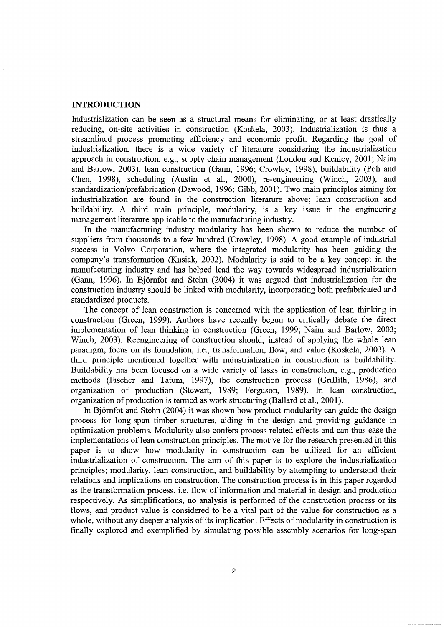#### **INTRODUCTION**

Industrialization can be seen as a structural means for eliminating, or at least drastically reducing, on-site activities in construction (Koskela, 2003). Industrialization is thus a streamlined process promoting efficiency and economic profit. Regarding the goal of industrialization, there is a wide variety of literature considering the industrialization approach in construction, e.g., supply chain management (London and Kenley, 2001; Nairn and Barlow, 2003), lean construction (Gann, 1996; Crowley, 1998), buildability (Poh and Chen, 1998), scheduling (Austin et al., 2000), re-engineering (Winch, 2003), and standardization/prefabrication (Dawood, 1996; Gibb, 2001 ). Two main principles aiming for industrialization are found in the construction literature above; lean construction and buildability. A third main principle, modularity, is a key issue in the engineering management literature applicable to the manufacturing industry.

In the manufacturing industry modularity has been shown to reduce the number of suppliers from thousands to a few hundred (Crowley, 1998). A good example of industrial success is Volvo Corporation, where the integrated modularity has been guiding the company's transformation (Kusiak, 2002). Modularity is said to be a key concept in the manufacturing industry and has helped lead the way towards widespread industrialization (Gann, 1996). In Bjomfot and Stehn (2004) it was argued that industrialization for the construction industry should be linked with modularity, incorporating both prefabricated and standardized products.

The concept of lean construction is concerned with the application of lean thinking in construction (Green, 1999). Authors have recently begun to critically debate the direct implementation of lean thinking in construction (Green, 1999; Naim and Barlow, 2003; Winch, 2003). Reengineering of construction should, instead of applying the whole lean paradigm, focus on its foundation, i.e., transformation, flow, and value (Koskela, 2003). A third principle mentioned together with industrialization in construction is buildability. Buildability has been focused on a wide variety of tasks in construction, e.g., production methods (Fischer and Tatum, 1997), the construction process (Griffith, 1986), and organization of production (Stewart, 1989; Ferguson, 1989). In lean construction, organization of production is termed as work structuring (Ballard et al., 2001 ).

In Björnfot and Stehn (2004) it was shown how product modularity can guide the design process for long-span timber structures, aiding in the design and providing guidance in optimization problems. Modularity also confers process related effects and can thus ease the implementations of lean construction principles. The motive for the research presented in this paper is to show how modularity in construction can be utilized for an efficient industrialization of construction. The aim of this paper is to explore the industrialization principles; modularity, lean construction, and buildability by attempting to understand their relations and implications on construction. The construction process is in this paper regarded as the transformation process, i.e. flow of information and material in design and production respectively. As simplifications, no analysis is performed of the construction process or its flows, and product value is considered to be a vital part of the value for construction as a whole, without any deeper analysis of its implication. Effects of modularity in construction is finally explored and exemplified by simulating possible assembly scenarios for long-span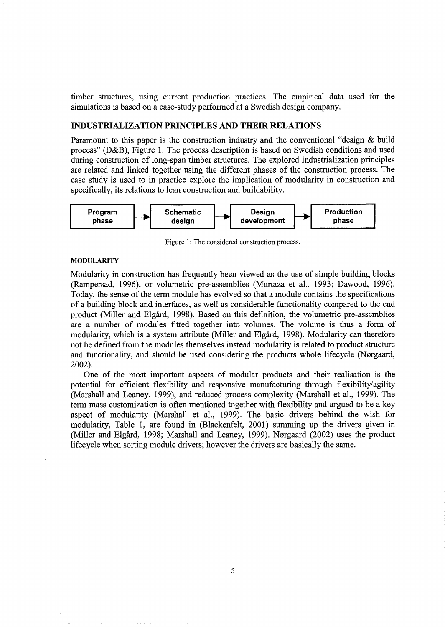timber structures, using current production practices. The empirical data used for the simulations is based on a case-study performed at a Swedish design company.

#### INDUSTRIALIZATION PRINCIPLES AND THEIR RELATIONS

Paramount to this paper is the construction industry and the conventional "design & build process" (D&B), Figure 1. The process description is based on Swedish conditions and used during construction of long-span timber structures. The explored industrialization principles are related and linked together using the different phases of the construction process. The case study is used to in practice explore the implication of modularity in construction and specifically, its relations to lean construction and buildability.



Figure 1: The considered construction process.

#### MODULARITY

Modularity in construction has frequently been viewed as the use of simple building blocks (Rampersad, 1996), or volumetric pre-assemblies (Murtaza et al., 1993; Dawood, 1996). Today, the sense of the term module has evolved so that a module contains the specifications of a building block and interfaces, as well as considerable functionality compared to the end product (Miller and Elgård, 1998). Based on this definition, the volumetric pre-assemblies are a number of modules fitted together into volumes. The volume is thus a form of modularity, which is a system attribute (Miller and Elgard, 1998). Modularity can therefore not be defined from the modules themselves instead modularity is related to product structure and functionality, and should be used considering the products whole lifecycle (Nørgaard, 2002).

One of the most important aspects of modular products and their realisation is the potential for efficient flexibility and responsive manufacturing through flexibility/agility (Marshall and Leaney, 1999), and reduced process complexity (Marshall et al., 1999). The term mass customization is often mentioned together with flexibility and argued to be a key aspect of modularity (Marshall et al., 1999). The basic drivers behind the wish for modularity, Table 1, are found in (Blackenfelt, 2001) summing up the drivers given in (Miller and Elgård, 1998; Marshall and Leaney, 1999). Nørgaard (2002) uses the product lifecycle when sorting module drivers; however the drivers are basically the same.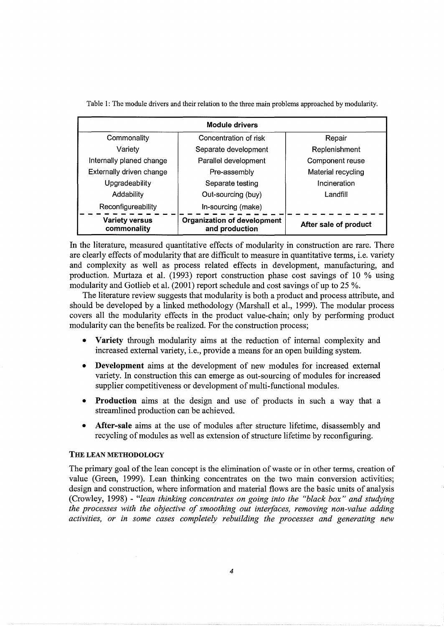| <b>Module drivers</b>                |                                                      |                       |  |  |  |  |  |  |  |  |
|--------------------------------------|------------------------------------------------------|-----------------------|--|--|--|--|--|--|--|--|
| Commonality                          | Concentration of risk                                | Repair                |  |  |  |  |  |  |  |  |
| Variety                              | Separate development                                 | Replenishment         |  |  |  |  |  |  |  |  |
| Internally planed change             | Parallel development                                 | Component reuse       |  |  |  |  |  |  |  |  |
| Externally driven change             | Pre-assembly                                         | Material recycling    |  |  |  |  |  |  |  |  |
| Upgradeability                       | Separate testing                                     | Incineration          |  |  |  |  |  |  |  |  |
| Addability                           | Out-sourcing (buy)                                   | Landfill              |  |  |  |  |  |  |  |  |
| Reconfigureability                   | In-sourcing (make)                                   |                       |  |  |  |  |  |  |  |  |
| <b>Variety versus</b><br>commonality | <b>Organization of development</b><br>and production | After sale of product |  |  |  |  |  |  |  |  |

Table 1: The module drivers and their relation to the three main problems approached by modularity.

In the literature, measured quantitative effects of modularity in construction are rare. There are clearly effects of modularity that are difficult to measure in quantitative terms, i.e. variety and complexity as well as process related effects in development, manufacturing, and production. Murtaza et al. (1993) report construction phase cost savings of 10 % using modularity and Gotlieb et al. (2001) report schedule and cost savings of up to 25 %.

The literature review suggests that modularity is both a product and process attribute, and should be developed by a linked methodology (Marshall et al., 1999). The modular process covers all the modularity effects in the product value-chain; only by performing product modularity can the benefits be realized. For the construction process;

- Variety through modularity aims at the reduction of internal complexity and increased external variety, i.e., provide a means for an open building system.
- Development aims at the development of new modules for increased external variety. In construction this can emerge as out-sourcing of modules for increased supplier competitiveness or development of multi-functional modules.
- Production aims at the design and use of products in such a way that a streamlined production can be achieved.
- After-sale aims at the use of modules after structure lifetime, disassembly and recycling of modules as well as extension of structure lifetime by reconfiguring.

### THE LEAN METHODOLOGY

The primary goal of the lean concept is the elimination of waste or in other terms, creation of value (Green, 1999). Lean thinking concentrates on the two main conversion activities; design and construction, where information and material flows are the basic units of analysis (Crowley, 1998) - *"lean thinking concentrates on going into the "black box" and studying the processes with the objective of smoothing out interfaces, removing non-value adding activities, or in some cases completely rebuilding the processes and generating new*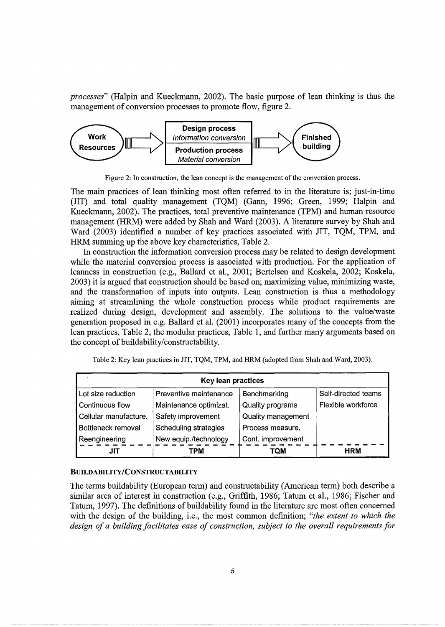*processes*" (Halpin and Kueckmann, 2002). The basic purpose of lean thinking is thus the management of conversion processes to promote flow, figure 2.



Figure 2: In construction, the lean concept is the management of the conversion process.

The main practices of lean thinking most often referred to in the literature is; just-in-time (JIT) and total quality management (TQM) (Gann, 1996; Green, 1999; Halpin and Kueckmann, 2002). The practices, total preventive maintenance (TPM) and human resource management (HRM) were added by Shah and Ward (2003). A literature survey by Shah and Ward (2003) identified a number of key practices associated with JIT, TQM, TPM, and HRM summing up the above key characteristics, Table 2.

In construction the information conversion process may be related to design development while the material conversion process is associated with production. For the application of leanness in construction (e.g., Ballard et al., 2001; Bertelsen and Koskela, 2002; Koskela, 2003) it is argued that construction should be based on; maximizing value, minimizing waste, and the transformation of inputs into outputs. Lean construction is thus a methodology aiming at streamlining the whole construction process while product requirements are realized during design, development and assembly. The solutions to the value/waste generation proposed in e.g. Ballard et al. (2001) incorporates many of the concepts from the lean practices, Table 2, the modular practices, Table 1, and further many arguments based on the concept of buildability/constructability.

Table 2: Key lean practices in JIT, TQM, TPM, and HRM (adopted from Shah and Ward, 2003).

| Key lean practices    |                        |                    |                    |  |  |  |  |  |  |  |
|-----------------------|------------------------|--------------------|--------------------|--|--|--|--|--|--|--|
| Lot size reduction    | Self-directed teams    |                    |                    |  |  |  |  |  |  |  |
| Continuous flow       | Maintenance optimizat. | Quality programs   | Flexible workforce |  |  |  |  |  |  |  |
| Cellular manufacture. | Safety improvement     | Quality management |                    |  |  |  |  |  |  |  |
| Bottleneck removal    | Scheduling strategies  | Process measure.   |                    |  |  |  |  |  |  |  |
| Reengineering         | New equip./technology  | Cont. improvement  |                    |  |  |  |  |  |  |  |
| JIT                   | TPM                    | TQM                | <b>HRM</b>         |  |  |  |  |  |  |  |

#### BUILDABILITY/CONSTRUCTABILITY

The terms buildability (European term) and constructability (American term) both describe a similar area of interest in construction (e.g., Griffith, 1986; Tatum et al., 1986; Fischer and Tatum, 1997). The definitions of buildability found in the literature are most often concerned with the design of the building, i.e., the most common definition; *"the extent to which the design of a building facilitates ease of construction, subject to the overall requirements for*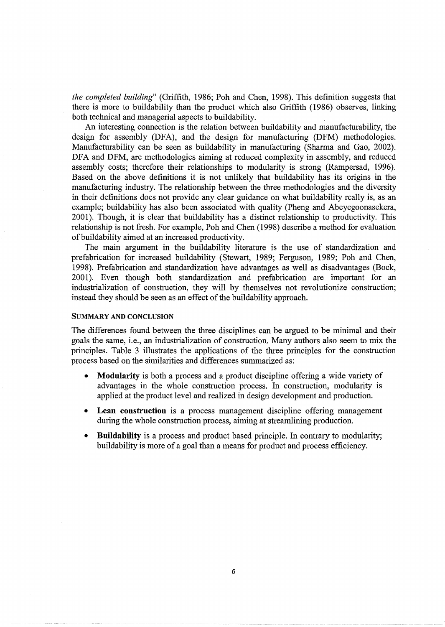*the completed building"* (Griffith, 1986; Poh and Chen, 1998). This definition suggests that there is more to buildability than the product which also Griffith (1986) observes, linking both technical and managerial aspects to buildability.

An interesting connection is the relation between buildability and manufacturability, the design for assembly (DFA), and the design for manufacturing (DFM) methodologies. Manufacturability can be seen as buildability in manufacturing (Sharma and Gao, 2002). DFA and DFM, are methodologies aiming at reduced complexity in assembly, and reduced assembly costs; therefore their relationships to modularity is strong (Rampersad, 1996). Based on the above definitions it is not unlikely that buildability has its origins in the manufacturing industry. The relationship between the three methodologies and the diversity in their definitions does not provide any clear guidance on what buildability really is, as an example; buildability has also been associated with quality (Pheng and Abeyegoonasekera, 2001). Though, it is clear that buildability has a distinct relationship to productivity. This relationship is not fresh. For example, Poh and Chen (1998) describe a method for evaluation of buildability aimed at an increased productivity.

The main argument in the buildability literature is the use of standardization and prefabrication for increased buildability (Stewart, 1989; Ferguson, 1989; Poh and Chen, 1998). Prefabrication and standardization have advantages as well as disadvantages (Bock, 2001). Even though both standardization and prefabrication are important for an industrialization of construction, they will by themselves not revolutionize construction; instead they should be seen as an effect of the buildability approach.

#### SUMMARY AND CONCLUSION

The differences found between the three disciplines can be argued to be minimal and their goals the same, i.e., an industrialization of construction. Many authors also seem to mix the principles. Table 3 illustrates the applications of the three principles for the construction process based on the similarities and differences summarized as:

- **Modularity** is both a process and a product discipline offering a wide variety of advantages in the whole construction process. In construction, modularity is applied at the product level and realized in design development and production.
- Lean construction is a process management discipline offering management during the whole construction process, aiming at streamlining production.
- **Buildability** is a process and product based principle. In contrary to modularity; buildability is more of a goal than a means for product and process efficiency.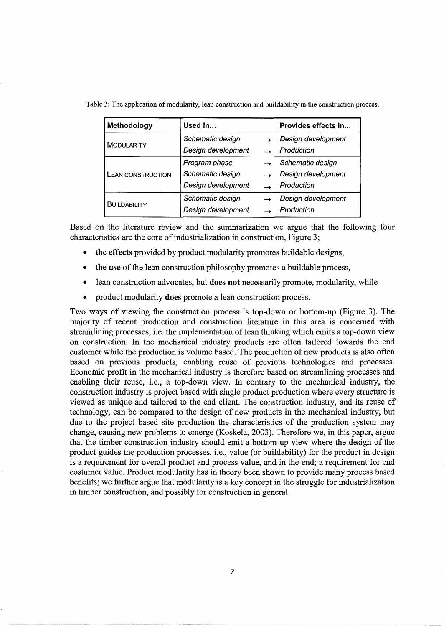| Methodology              | Used in            |                    | Provides effects in |  |  |  |  |
|--------------------------|--------------------|--------------------|---------------------|--|--|--|--|
|                          | Schematic design   |                    | Design development  |  |  |  |  |
| <b>MODULARITY</b>        | Design development | Production         |                     |  |  |  |  |
|                          | Program phase      | Schematic design   |                     |  |  |  |  |
| <b>LEAN CONSTRUCTION</b> | Schematic design   | Design development |                     |  |  |  |  |
|                          | Design development | Production         |                     |  |  |  |  |
| <b>BUILDABILITY</b>      | Schematic design   |                    | Design development  |  |  |  |  |
|                          | Design development |                    | Production          |  |  |  |  |

Table 3: The application of modularity, lean construction and buildability in the construction process.

Based on the literature review and the summarization we argue that the following four characteristics are the core of industrialization in construction, Figure 3;

- the **effects** provided by product modularity promotes buildable designs,
- the **use** of the lean construction philosophy promotes a buildable process,
- lean construction advocates, but **does not** necessarily promote, modularity, while
- product modularity **does** promote a lean construction process.

Two ways of viewing the construction process is top-down or bottom-up (Figure 3). The majority of recent production and construction literature in this area is concerned with streamlining processes, i.e. the implementation of lean thinking which emits a top-down view on construction. In the mechanical industry products are often tailored towards the end customer while the production is volume based. The production of new products is also often based on previous products, enabling reuse of previous technologies and processes. Economic profit in the mechanical industry is therefore based on streamlining processes and enabling their reuse, i.e., a top-down view. In contrary to the mechanical industry, the construction industry is project based with single product production where every structure is viewed as unique and tailored to the end client. The construction industry, and its reuse of technology, can be compared to the design of new products in the mechanical industry, but due to the project based site production the characteristics of the production system may change, causing new problems to emerge (Koskela, 2003). Therefore we, in this paper, argue that the timber construction industry should emit a bottom-up view where the design of the product guides the production processes, i.e., value (or buildability) for the product in design is a requirement for overall product and process value, and in the end; a requirement for end costumer value. Product modularity has in theory been shown to provide many process based benefits; we further argue that modularity is a key concept in the struggle for industrialization in timber construction, and possibly for construction in general.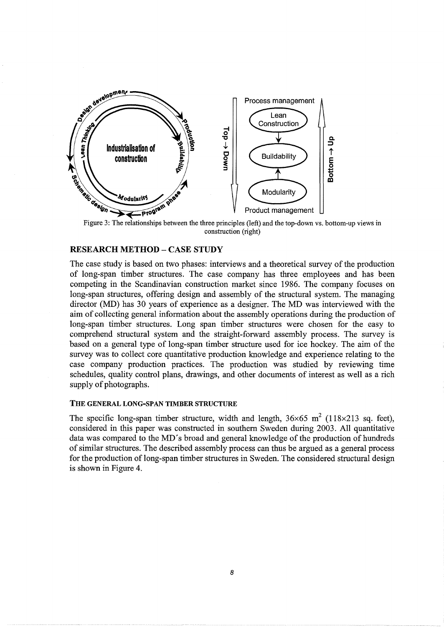

construction (right)

# RESEARCH METHOD- CASE STUDY

The case study is based on two phases: interviews and a theoretical survey of the production of long-span timber structures. The case company has three employees and has been competing in the Scandinavian construction market since 1986. The company focuses on long-span structures, offering design and assembly of the structural system. The managing director (MD) has 30 years of experience as a designer. The MD was interviewed with the aim of collecting general information about the assembly operations during the production of long-span timber structures. Long span timber structures were chosen for the easy to comprehend structural system and the straight-forward assembly process. The survey is based on a general type of long-span timber structure used for ice hockey. The aim of the survey was to collect core quantitative production knowledge and experience relating to the case company production practices. The production was studied by reviewing time schedules, quality control plans, drawings, and other documents of interest as well as a rich supply of photographs.

#### THE GENERAL LONG-SPAN TIMBER STRUCTURE

The specific long-span timber structure, width and length,  $36\times65$  m<sup>2</sup> (118×213 sq. feet), considered in this paper was constructed in southern Sweden during 2003. All quantitative data was compared to the MD's broad and general knowledge of the production of hundreds of similar structures. The described assembly process can thus be argued as a general process for the production of long-span timber structures in Sweden. The considered structural design is shown in Figure 4.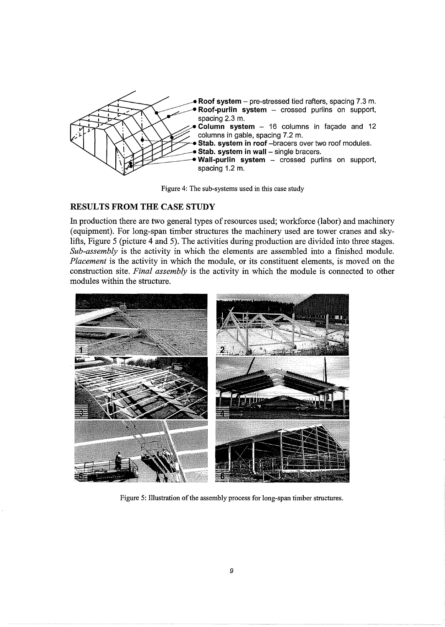

Figure 4: The sub-systems used in this case study

# **RESULTS FROM THE CASE STUDY**

In production there are two general types of resources used; workforce (labor) and machinery (equipment). For long-span timber structures the machinery used are tower cranes and skylifts, Figure 5 (picture 4 and 5). The activities during production are divided into three stages. *Sub-assembly* is the activity in which the elements are assembled into a finished module. *Placement* is the activity in which the module, or its constituent elements, is moved on the construction site. *Final assembly* is the activity in which the module is connected to other modules within the structure.



Figure 5: Illustration of the assembly process for long-span timber structures.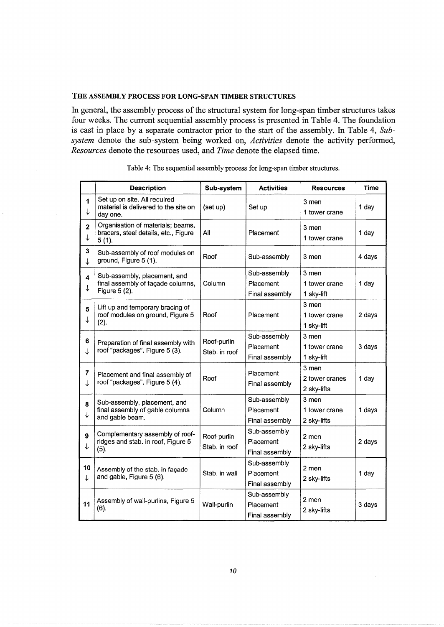## THE ASSEMBLY PROCESS FOR LONG-SPAN TIMBER STRUCTURES

In general, the assembly process of the structural system for long-span timber structures takes four weeks. The current sequential assembly process is presented in Table 4. The foundation is cast in place by a separate contractor prior to the start of the assembly. In Table 4, *Subsystem* denote the sub-system being worked on, *Activities* denote the activity performed, *Resources* denote the resources used, and *Time* denote the elapsed time.

|                                         | <b>Description</b>                                                                 | Sub-system                   | <b>Activities</b>                           | <b>Resources</b>                       | <b>Time</b> |
|-----------------------------------------|------------------------------------------------------------------------------------|------------------------------|---------------------------------------------|----------------------------------------|-------------|
| 1<br>$\downarrow$                       | Set up on site. All required<br>material is delivered to the site on<br>day one.   | (set up)                     | Set up                                      | 3 men<br>1 tower crane                 | 1 day       |
| $\overline{\mathbf{2}}$<br>↓            | Organisation of materials; beams,<br>bracers, steel details, etc., Figure<br>5(1). | All                          | Placement                                   | 3 men<br>1 tower crane                 | 1 day       |
| $\overline{\mathbf{3}}$<br>$\downarrow$ | Sub-assembly of roof modules on<br>ground, Figure 5 (1).                           | Roof                         | Sub-assembly                                | 3 men                                  | 4 days      |
| 4<br>↓                                  | Sub-assembly, placement, and<br>final assembly of façade columns,<br>Figure 5 (2). | Column                       | Sub-assembly<br>Placement<br>Final assembly | 3 men<br>1 tower crane<br>1 sky-lift   | 1 day       |
| 5<br>↓                                  | Lift up and temporary bracing of<br>roof modules on ground, Figure 5<br>(2).       | Roof                         | Placement                                   | 3 men<br>1 tower crane<br>1 sky-lift   | 2 days      |
| 6<br>↓                                  | Preparation of final assembly with<br>roof "packages", Figure 5 (3).               | Roof-purlin<br>Stab. in roof | Sub-assembly<br>Placement<br>Final assembly | 3 men<br>1 tower crane<br>1 sky-lift   | 3 days      |
| $\overline{7}$<br>↓                     | Placement and final assembly of<br>roof "packages", Figure 5 (4).                  | Roof                         | Placement<br>Final assembly                 | 3 men<br>2 tower cranes<br>2 sky-lifts | 1 day       |
| 8<br>↓                                  | Sub-assembly, placement, and<br>final assembly of gable columns<br>and gable beam. | Column                       | Sub-assembly<br>Placement<br>Final assembly | 3 men<br>1 tower crane<br>2 sky-lifts  | 1 days      |
| 9<br>↓                                  | Complementary assembly of roof-<br>ridges and stab. in roof, Figure 5<br>(5).      | Roof-purlin<br>Stab. in roof | Sub-assembly<br>Placement<br>Final assembly | 2 men<br>2 sky-lifts                   | 2 days      |
| 10<br>↓                                 | Assembly of the stab. in façade<br>and gable, Figure 5 (6).                        | Stab. in wall                | Sub-assembly<br>Placement<br>Final assembly | 2 men<br>2 sky-lifts                   | 1 day       |
| 11                                      | Assembly of wall-purlins, Figure 5<br>(6).                                         | Wall-purlin                  | Sub-assembly<br>Placement<br>Final assembly | 2 men<br>2 sky-lifts                   | 3 days      |

|  | Table 4: The sequential assembly process for long-span timber structures. |  |
|--|---------------------------------------------------------------------------|--|
|  |                                                                           |  |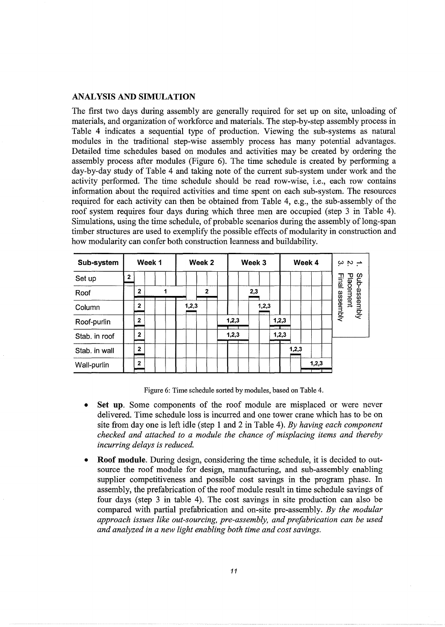### ANALYSIS AND SIMULATION

The first two days during assembly are generally required for set up on site, unloading of materials, and organization of workforce and materials. The step-by-step assembly process in Table 4 indicates a sequential type of production. Viewing the sub-systems as natural modules in the traditional step-wise assembly process has many potential advantages. Detailed time schedules based on modules and activities may be created by ordering the assembly process after modules (Figure 6). The time schedule is created by performing a day-by-day study of Table 4 and taking note of the current sub-system under work and the activity performed. The time schedule should be read row-wise, i.e., each row contains information about the required activities and time spent on each sub-system. The resources required for each activity can then be obtained from Table 4, e.g., the sub-assembly of the roof system requires four days during which three men are occupied (step 3 in Table 4). Simulations, using the time schedule, of probable scenarios during the assembly of long-span timber structures are used to exemplify the possible effects of modularity in construction and how modularity can confer both construction leanness and buildability.

| Sub-system    |              |                | Week 1 |  | Week 2 |       |   | Week 3 |       |  |     |       |       |  | Week 4 | $\sim$ is $\rightarrow$ |       |  |                            |
|---------------|--------------|----------------|--------|--|--------|-------|---|--------|-------|--|-----|-------|-------|--|--------|-------------------------|-------|--|----------------------------|
| Set up        | $\mathbf{z}$ |                |        |  |        |       |   |        |       |  |     |       |       |  |        |                         |       |  | lmal                       |
| Roof          |              | $\overline{2}$ |        |  |        |       | 2 |        |       |  | 2,3 |       |       |  |        |                         |       |  | Sub-asse-mbly<br>Placement |
| Column        |              | 2              |        |  |        | 1,2,3 |   |        |       |  |     | 1,2,3 |       |  |        |                         |       |  | assembly                   |
| Roof-purlin   |              | $\mathbf{2}$   |        |  |        |       |   |        | 1,2,3 |  |     |       | 1,2,3 |  |        |                         |       |  |                            |
| Stab. in roof |              | 2              |        |  |        |       |   |        | 1,2,3 |  |     |       | 1,2,3 |  |        |                         |       |  |                            |
| Stab. in wall |              | 2              |        |  |        |       |   |        |       |  |     |       |       |  | 1,2,3  |                         |       |  |                            |
| Wall-purlin   |              | $\mathbf{2}$   |        |  |        |       |   |        |       |  |     |       |       |  |        |                         | 1,2,3 |  |                            |

Figure 6: Time schedule sorted by modules, based on Table 4.

- Set up. Some components of the roof module are misplaced or were never delivered. Time schedule loss is incurred and one tower crane which has to be on site from day one is left idle (step 1 and 2 in Table 4). *By having each component checked and attached to a module the chance of misplacing items and thereby incurring delays is reduced.*
- **Roof module.** During design, considering the time schedule, it is decided to outsource the roof module for design, manufacturing, and sub-assembly enabling supplier competitiveness and possible cost savings in the program phase. In assembly, the prefabrication of the roof module result in time schedule savings of four days (step 3 in table 4). The cost savings in site production can also be compared with partial prefabrication and on-site pre-assembly. *By the modular approach issues like out-sourcing, pre-assembly, and prefabrication can be used and analyzed in a new light enabling both time and cost savings.*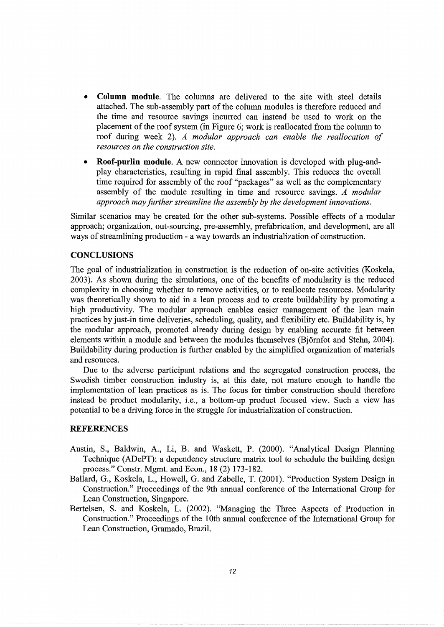- **Column module.** The columns are delivered to the site with steel details attached. The sub-assembly part of the column modules is therefore reduced and the time and resource savings incurred can instead be used to work on the placement of the roof system (in Figure 6; work is reallocated from the column to roof during week 2). *A modular approach can enable the reallocation of resources on the construction site.*
- **Roof-purlin module.** A new connector innovation is developed with plug-andplay characteristics, resulting in rapid final assembly. This reduces the overall time required for assembly of the roof "packages" as well as the complementary assembly of the module resulting in time and resource savings. *A modular approach may further streamline the assembly by the development innovations.*

Similar scenarios may be created for the other sub-systems. Possible effects of a modular approach; organization, out-sourcing, pre-assembly, prefabrication, and development, are all ways of streamlining production - a way towards an industrialization of construction.

## **CONCLUSIONS**

The goal of industrialization in construction is the reduction of on-site activities (Koskela, 2003). As shown during the simulations, one of the benefits of modularity is the reduced complexity in choosing whether to remove activities, or to reallocate resources. Modularity was theoretically shown to aid in a lean process and to create buildability by promoting a high productivity. The modular approach enables easier management of the lean main practices by just-in time deliveries, scheduling, quality, and flexibility etc. Buildability is, by the modular approach, promoted already during design by enabling accurate fit between elements within a module and between the modules themselves (Bjornfot and Stehn, 2004). Buildability during production is further enabled by the simplified organization of materials and resources.

Due to the adverse participant relations and the segregated construction process, the Swedish timber construction industry is, at this date, not mature enough to handle the implementation of lean practices as is. The focus for timber construction should therefore instead be product modularity, i.e., a bottom-up product focused view. Such a view has potential to be a driving force in the struggle for industrialization of construction.

#### **REFERENCES**

- Austin, S., Baldwin, A., Li, B. and Waskett, P. (2000). "Analytical Design Planning Technique (ADePT): a dependency structure matrix tool to schedule the building design process." Constr. Mgmt. and Econ., 18 (2) 173-182.
- Ballard, G., Koskela, L., Howell, G. and Zabelle, T. (2001). "Production System Design in Construction." Proceedings of the 9th annual conference of the International Group for Lean Construction, Singapore.
- Bertelsen, S. and Koskela, L. (2002). "Managing the Three Aspects of Production in Construction." Proceedings of the 10th annual conference of the International Group for Lean Construction, Gramado, Brazil.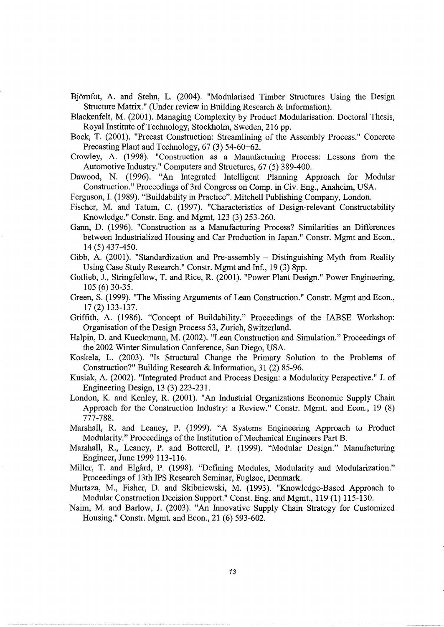Bjornfot, A. and Stehn, L. (2004). "Modularised Timber Structures Using the Design Structure Matrix." (Under review in Building Research & Information).

Blackenfelt, M. (2001). Managing Complexity by Product Modularisation. Doctoral Thesis, Royal Institute of Technology, Stockholm, Sweden, 216 pp.

Bock, T. (2001). "Precast Construction: Streamlining of the Assembly Process." Concrete Precasting Plant and Technology, 67 (3) 54-60+62.

Crowley, A. (1998). "Construction as a Manufacturing Process: Lessons from the Automotive Industry." Computers and Structures, 67 (5) 389-400.

Dawood, N. (1996). "An Integrated Intelligent Planning Approach for Modular Construction." Proceedings of 3rd Congress on Camp. in Civ. Eng., Anaheim, USA.

Ferguson, I. (1989). "Buildability in Practice". Mitchell Publishing Company, London.

Fischer, M. and Tatum, C. (1997). "Characteristics of Design-relevant Constructability Knowledge." Constr. Eng. and Mgmt, 123 (3) 253-260.

Gann, D. (1996). "Construction as a Manufacturing Process? Similarities an Differences between Industrialized Housing and Car Production in Japan." Constr. Mgmt and Econ., 14 (5) 437-450.

Gibb, A. (2001). "Standardization and Pre-assembly – Distinguishing Myth from Reality Using Case Study Research." Constr. Mgmt and Inf., 19 (3) 8pp.

Gotlieb, J., Stringfellow, T. and Rice, R. (2001). "Power Plant Design." Power Engineering, 105 (6) 30-35.

Green, S. (1999). "The Missing Arguments of Lean Construction." Constr. Mgmt and Econ., 17 (2) 133-137.

Griffith, A. (1986). "Concept of Buildability." Proceedings of the IABSE Workshop: Organisation of the Design Process 53, Zurich, Switzerland.

Halpin, D. and Kueckmann, M. (2002). "Lean Construction and Simulation." Proceedings of the 2002 Winter Simulation Conference, San Diego, USA.

Koskela, L. (2003). "Is Structural Change the Primary Solution to the Problems of Construction?" Building Research & Information, 31 (2) 85-96.

Kusiak, A. (2002). "Integrated Product and Process Design: a Modularity Perspective." J. of Engineering Design, 13 (3) 223-231.

London, K. and Kenley, R. (2001). "An Industrial Organizations Economic Supply Chain Approach for the Construction Industry: a Review." Constr. Mgmt. and Econ., 19 (8) 777-788.

Marshall, R. and Leaney, P. (1999). "A Systems Engineering Approach to Product Modularity." Proceedings of the Institution of Mechanical Engineers Part B.

Marshall, R., Leaney, P. and Botterell, P. (1999). "Modular Design." Manufacturing Engineer, June 1999 113-116.

Miller, T. and Elgard, P. (1998). "Defining Modules, Modularity and Modularization." Proceedings of 13th IPS Research Seminar, Fuglsoe, Denmark.

Murtaza, M., Fisher, D. and Skibniewski, M. (1993). "Knowledge-Based Approach to Modular Construction Decision Support." Const. Eng. and Mgmt., 119 (1) 115-130.

Naim, M. and Barlow, J. (2003). "An Innovative Supply Chain Strategy for Customized Housing." Constr. Mgmt. and Econ., 21 (6) 593-602.